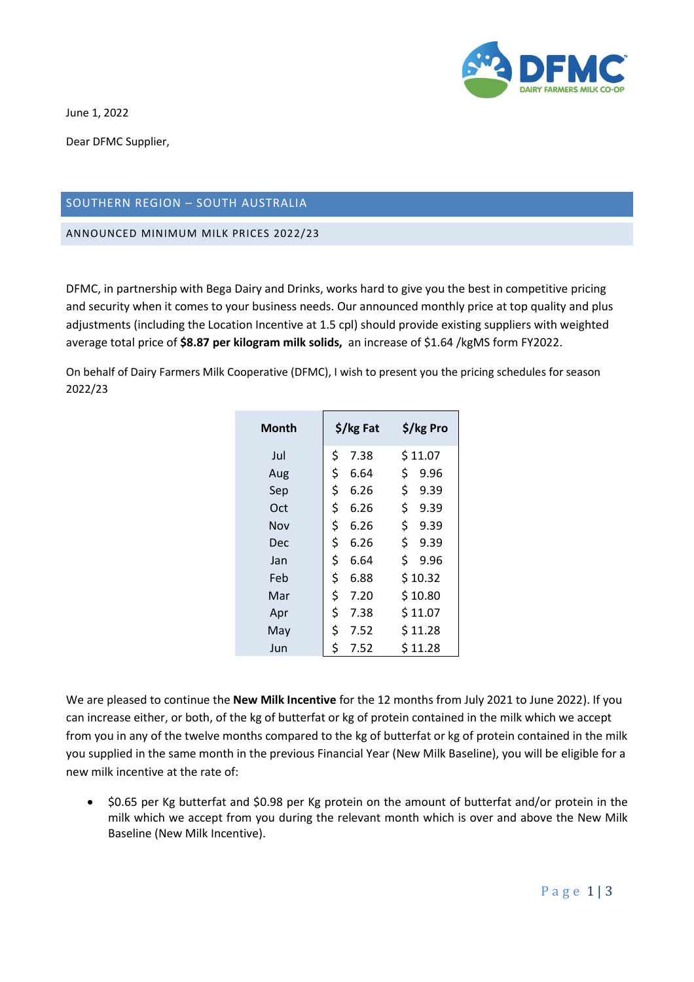

June 1, 2022

Dear DFMC Supplier,

## SOUTHERN REGION – SOUTH AUSTRALIA

ANNOUNCED MINIMUM MILK PRICES 2022/23

DFMC, in partnership with Bega Dairy and Drinks, works hard to give you the best in competitive pricing and security when it comes to your business needs. Our announced monthly price at top quality and plus adjustments (including the Location Incentive at 1.5 cpl) should provide existing suppliers with weighted average total price of **\$8.87 per kilogram milk solids,** an increase of \$1.64 /kgMS form FY2022.

On behalf of Dairy Farmers Milk Cooperative (DFMC), I wish to present you the pricing schedules for season 2022/23

| Month | $\frac{1}{2}$ /kg Fat |      |     | \$/kg Pro |  |
|-------|-----------------------|------|-----|-----------|--|
| Jul   | \$                    | 7.38 |     | \$11.07   |  |
| Aug   | \$                    | 6.64 | \$  | 9.96      |  |
| Sep   | \$                    | 6.26 | \$  | 9.39      |  |
| Oct   | \$                    | 6.26 | \$. | 9.39      |  |
| Nov   | \$                    | 6.26 | \$. | 9.39      |  |
| Dec   | \$                    | 6.26 | \$. | 9.39      |  |
| Jan   | \$                    | 6.64 | \$. | 9.96      |  |
| Feb   | \$                    | 6.88 |     | \$10.32   |  |
| Mar   | \$                    | 7.20 |     | \$10.80   |  |
| Apr   | \$                    | 7.38 |     | \$11.07   |  |
| May   | \$                    | 7.52 |     | \$11.28   |  |
| Jun   | \$                    | 7.52 |     | \$11.28   |  |

We are pleased to continue the **New Milk Incentive** for the 12 months from July 2021 to June 2022). If you can increase either, or both, of the kg of butterfat or kg of protein contained in the milk which we accept from you in any of the twelve months compared to the kg of butterfat or kg of protein contained in the milk you supplied in the same month in the previous Financial Year (New Milk Baseline), you will be eligible for a new milk incentive at the rate of:

• \$0.65 per Kg butterfat and \$0.98 per Kg protein on the amount of butterfat and/or protein in the milk which we accept from you during the relevant month which is over and above the New Milk Baseline (New Milk Incentive).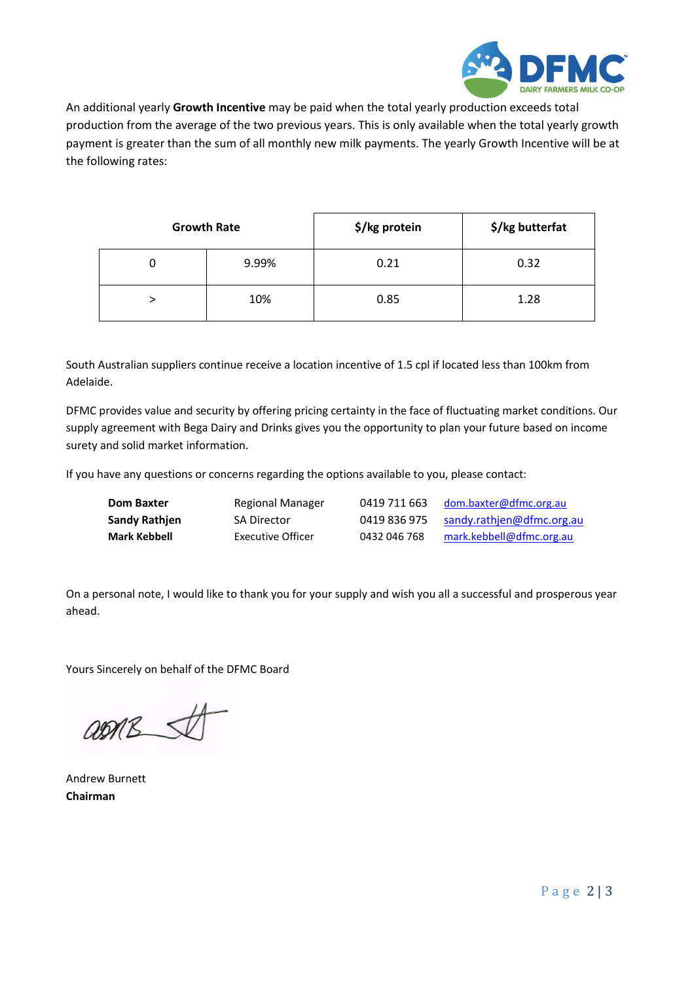

An additional yearly **Growth Incentive** may be paid when the total yearly production exceeds total production from the average of the two previous years. This is only available when the total yearly growth payment is greater than the sum of all monthly new milk payments. The yearly Growth Incentive will be at the following rates:

|   | <b>Growth Rate</b> | \$/kg protein | \$/kg butterfat |
|---|--------------------|---------------|-----------------|
| U | 9.99%              | 0.21          | 0.32            |
|   | 10%                | 0.85          | 1.28            |

South Australian suppliers continue receive a location incentive of 1.5 cpl if located less than 100km from Adelaide.

DFMC provides value and security by offering pricing certainty in the face of fluctuating market conditions. Our supply agreement with Bega Dairy and Drinks gives you the opportunity to plan your future based on income surety and solid market information.

If you have any questions or concerns regarding the options available to you, please contact:

| <b>Dom Baxter</b> | Regional Manager   | 0419 711 663 | dom.baxter@dfmc.org.au    |
|-------------------|--------------------|--------------|---------------------------|
| Sandy Rathjen     | <b>SA Director</b> | 0419 836 975 | sandy.rathjen@dfmc.org.au |
| Mark Kebbell      | Executive Officer  | 0432 046 768 | mark.kebbell@dfmc.org.au  |

On a personal note, I would like to thank you for your supply and wish you all a successful and prosperous year ahead.

Yours Sincerely on behalf of the DFMC Board

 $QDRS$ 

Andrew Burnett **Chairman**

P a g e 2 | 3